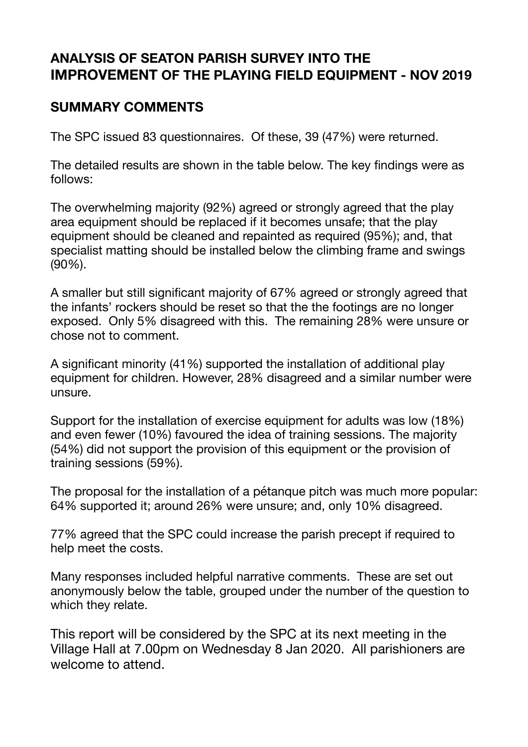## **ANALYSIS OF SEATON PARISH SURVEY INTO THE IMPROVEMENT OF THE PLAYING FIELD EQUIPMENT - NOV 2019**

## **SUMMARY COMMENTS**

The SPC issued 83 questionnaires. Of these, 39 (47%) were returned.

The detailed results are shown in the table below. The key findings were as follows:

The overwhelming majority (92%) agreed or strongly agreed that the play area equipment should be replaced if it becomes unsafe; that the play equipment should be cleaned and repainted as required (95%); and, that specialist matting should be installed below the climbing frame and swings (90%).

A smaller but still significant majority of 67% agreed or strongly agreed that the infants' rockers should be reset so that the the footings are no longer exposed. Only 5% disagreed with this. The remaining 28% were unsure or chose not to comment.

A significant minority (41%) supported the installation of additional play equipment for children. However, 28% disagreed and a similar number were unsure.

Support for the installation of exercise equipment for adults was low (18%) and even fewer (10%) favoured the idea of training sessions. The majority (54%) did not support the provision of this equipment or the provision of training sessions (59%).

The proposal for the installation of a pétanque pitch was much more popular: 64% supported it; around 26% were unsure; and, only 10% disagreed.

77% agreed that the SPC could increase the parish precept if required to help meet the costs.

Many responses included helpful narrative comments. These are set out anonymously below the table, grouped under the number of the question to which they relate.

This report will be considered by the SPC at its next meeting in the Village Hall at 7.00pm on Wednesday 8 Jan 2020. All parishioners are welcome to attend.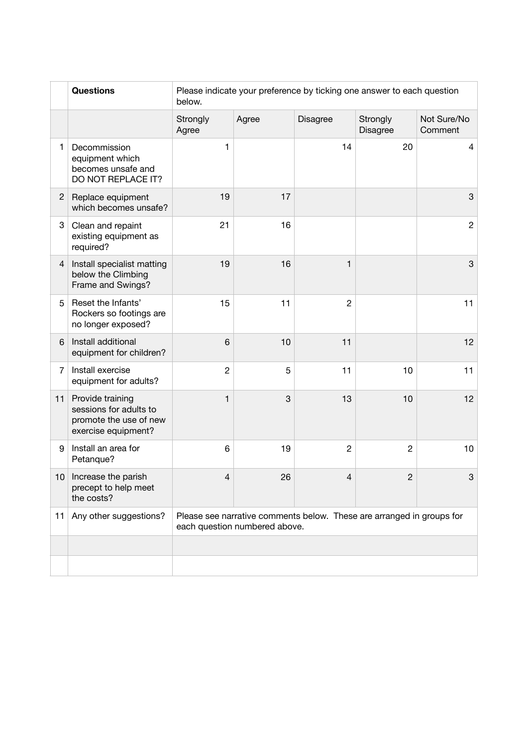|                | Questions                                                                                   | Please indicate your preference by ticking one answer to each question<br>below.                       |       |                |                      |                           |
|----------------|---------------------------------------------------------------------------------------------|--------------------------------------------------------------------------------------------------------|-------|----------------|----------------------|---------------------------|
|                |                                                                                             | Strongly<br>Agree                                                                                      | Agree | Disagree       | Strongly<br>Disagree | Not Sure/No<br>Comment    |
| $\mathbf{1}$   | Decommission<br>equipment which<br>becomes unsafe and<br>DO NOT REPLACE IT?                 | 1                                                                                                      |       | 14             | 20                   | 4                         |
| $\mathbf{2}$   | Replace equipment<br>which becomes unsafe?                                                  | 19                                                                                                     | 17    |                |                      | $\ensuremath{\mathsf{3}}$ |
| 3              | Clean and repaint<br>existing equipment as<br>required?                                     | 21                                                                                                     | 16    |                |                      | $\overline{2}$            |
| $\overline{4}$ | Install specialist matting<br>below the Climbing<br>Frame and Swings?                       | 19                                                                                                     | 16    | 1              |                      | 3                         |
| 5              | Reset the Infants'<br>Rockers so footings are<br>no longer exposed?                         | 15                                                                                                     | 11    | $\overline{c}$ |                      | 11                        |
| 6              | Install additional<br>equipment for children?                                               | 6                                                                                                      | 10    | 11             |                      | 12                        |
| $\overline{7}$ | Install exercise<br>equipment for adults?                                                   | $\overline{c}$                                                                                         | 5     | 11             | 10                   | 11                        |
| 11             | Provide training<br>sessions for adults to<br>promote the use of new<br>exercise equipment? | 1                                                                                                      | 3     | 13             | 10                   | 12                        |
| 9              | Install an area for<br>Petanque?                                                            | 6                                                                                                      | 19    | $\overline{c}$ | $\overline{c}$       | 10                        |
|                | 10 Increase the parish<br>precept to help meet<br>the costs?                                | 4                                                                                                      | 26    | $\Lambda$      | $\overline{c}$       | 3                         |
| 11             | Any other suggestions?                                                                      | Please see narrative comments below. These are arranged in groups for<br>each question numbered above. |       |                |                      |                           |
|                |                                                                                             |                                                                                                        |       |                |                      |                           |
|                |                                                                                             |                                                                                                        |       |                |                      |                           |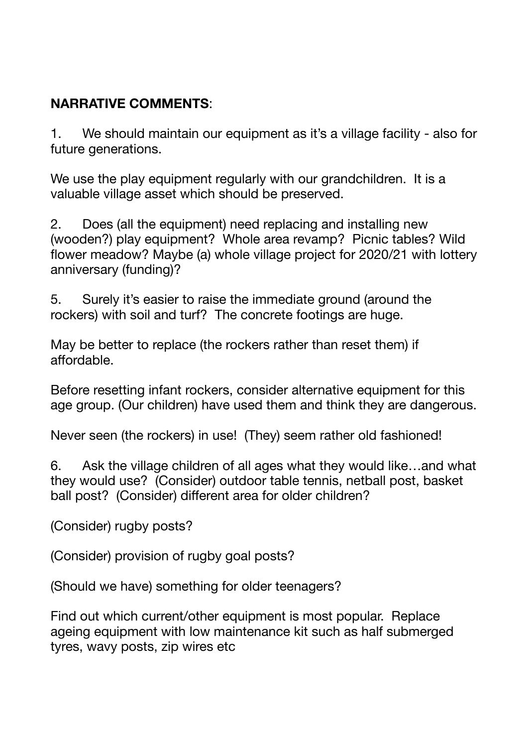## **NARRATIVE COMMENTS**:

1. We should maintain our equipment as it's a village facility - also for future generations.

We use the play equipment regularly with our grandchildren. It is a valuable village asset which should be preserved.

2. Does (all the equipment) need replacing and installing new (wooden?) play equipment? Whole area revamp? Picnic tables? Wild flower meadow? Maybe (a) whole village project for 2020/21 with lottery anniversary (funding)?

5. Surely it's easier to raise the immediate ground (around the rockers) with soil and turf? The concrete footings are huge.

May be better to replace (the rockers rather than reset them) if affordable.

Before resetting infant rockers, consider alternative equipment for this age group. (Our children) have used them and think they are dangerous.

Never seen (the rockers) in use! (They) seem rather old fashioned!

6. Ask the village children of all ages what they would like…and what they would use? (Consider) outdoor table tennis, netball post, basket ball post? (Consider) different area for older children?

(Consider) rugby posts?

(Consider) provision of rugby goal posts?

(Should we have) something for older teenagers?

Find out which current/other equipment is most popular. Replace ageing equipment with low maintenance kit such as half submerged tyres, wavy posts, zip wires etc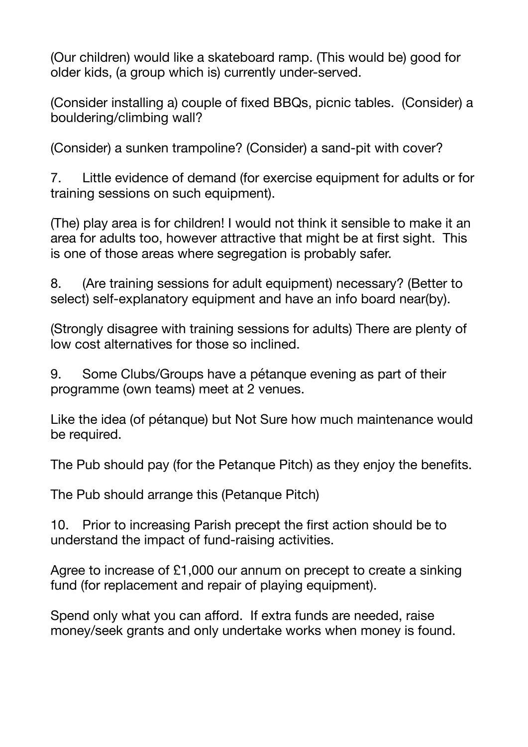(Our children) would like a skateboard ramp. (This would be) good for older kids, (a group which is) currently under-served.

(Consider installing a) couple of fixed BBQs, picnic tables. (Consider) a bouldering/climbing wall?

(Consider) a sunken trampoline? (Consider) a sand-pit with cover?

7. Little evidence of demand (for exercise equipment for adults or for training sessions on such equipment).

(The) play area is for children! I would not think it sensible to make it an area for adults too, however attractive that might be at first sight. This is one of those areas where segregation is probably safer.

8. (Are training sessions for adult equipment) necessary? (Better to select) self-explanatory equipment and have an info board near(by).

(Strongly disagree with training sessions for adults) There are plenty of low cost alternatives for those so inclined.

9. Some Clubs/Groups have a pétanque evening as part of their programme (own teams) meet at 2 venues.

Like the idea (of pétanque) but Not Sure how much maintenance would be required.

The Pub should pay (for the Petanque Pitch) as they enjoy the benefits.

The Pub should arrange this (Petanque Pitch)

10. Prior to increasing Parish precept the first action should be to understand the impact of fund-raising activities.

Agree to increase of £1,000 our annum on precept to create a sinking fund (for replacement and repair of playing equipment).

Spend only what you can afford. If extra funds are needed, raise money/seek grants and only undertake works when money is found.